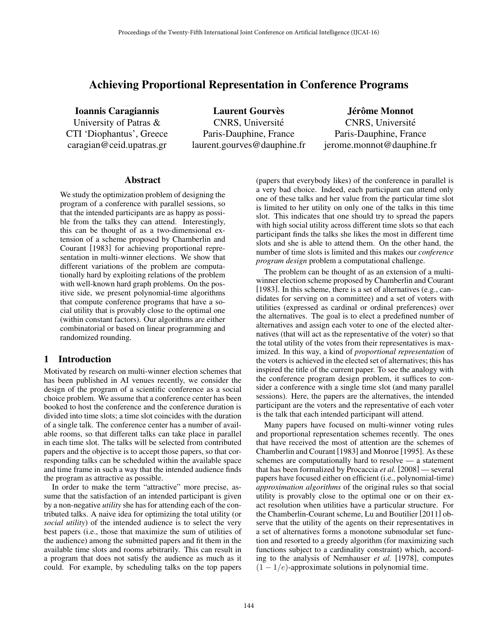# Achieving Proportional Representation in Conference Programs

Ioannis Caragiannis University of Patras & CTI 'Diophantus', Greece caragian@ceid.upatras.gr

**Laurent Gourvès** CNRS, Universite´ Paris-Dauphine, France laurent.gourves@dauphine.fr

Jérôme Monnot CNRS, Universite´ Paris-Dauphine, France jerome.monnot@dauphine.fr

#### Abstract

We study the optimization problem of designing the program of a conference with parallel sessions, so that the intended participants are as happy as possible from the talks they can attend. Interestingly, this can be thought of as a two-dimensional extension of a scheme proposed by Chamberlin and Courant [1983] for achieving proportional representation in multi-winner elections. We show that different variations of the problem are computationally hard by exploiting relations of the problem with well-known hard graph problems. On the positive side, we present polynomial-time algorithms that compute conference programs that have a social utility that is provably close to the optimal one (within constant factors). Our algorithms are either combinatorial or based on linear programming and randomized rounding.

# 1 Introduction

Motivated by research on multi-winner election schemes that has been published in AI venues recently, we consider the design of the program of a scientific conference as a social choice problem. We assume that a conference center has been booked to host the conference and the conference duration is divided into time slots; a time slot coincides with the duration of a single talk. The conference center has a number of available rooms, so that different talks can take place in parallel in each time slot. The talks will be selected from contributed papers and the objective is to accept those papers, so that corresponding talks can be scheduled within the available space and time frame in such a way that the intended audience finds the program as attractive as possible.

In order to make the term "attractive" more precise, assume that the satisfaction of an intended participant is given by a non-negative *utility* she has for attending each of the contributed talks. A naive idea for optimizing the total utility (or *social utility*) of the intended audience is to select the very best papers (i.e., those that maximize the sum of utilities of the audience) among the submitted papers and fit them in the available time slots and rooms arbitrarily. This can result in a program that does not satisfy the audience as much as it could. For example, by scheduling talks on the top papers (papers that everybody likes) of the conference in parallel is a very bad choice. Indeed, each participant can attend only one of these talks and her value from the particular time slot is limited to her utility on only one of the talks in this time slot. This indicates that one should try to spread the papers with high social utility across different time slots so that each participant finds the talks she likes the most in different time slots and she is able to attend them. On the other hand, the number of time slots is limited and this makes our *conference program design* problem a computational challenge.

The problem can be thought of as an extension of a multiwinner election scheme proposed by Chamberlin and Courant [1983]. In this scheme, there is a set of alternatives (e.g., candidates for serving on a committee) and a set of voters with utilities (expressed as cardinal or ordinal preferences) over the alternatives. The goal is to elect a predefined number of alternatives and assign each voter to one of the elected alternatives (that will act as the representative of the voter) so that the total utility of the votes from their representatives is maximized. In this way, a kind of *proportional representation* of the voters is achieved in the elected set of alternatives; this has inspired the title of the current paper. To see the analogy with the conference program design problem, it suffices to consider a conference with a single time slot (and many parallel sessions). Here, the papers are the alternatives, the intended participant are the voters and the representative of each voter is the talk that each intended participant will attend.

Many papers have focused on multi-winner voting rules and proportional representation schemes recently. The ones that have received the most of attention are the schemes of Chamberlin and Courant [1983] and Monroe [1995]. As these schemes are computationally hard to resolve — a statement that has been formalized by Procaccia *et al.* [2008] — several papers have focused either on efficient (i.e., polynomial-time) *approximation algorithms* of the original rules so that social utility is provably close to the optimal one or on their exact resolution when utilities have a particular structure. For the Chamberlin-Courant scheme, Lu and Boutilier [2011] observe that the utility of the agents on their representatives in a set of alternatives forms a monotone submodular set function and resorted to a greedy algorithm (for maximizing such functions subject to a cardinality constraint) which, according to the analysis of Nemhauser *et al.* [1978], computes  $(1 - 1/e)$ -approximate solutions in polynomial time.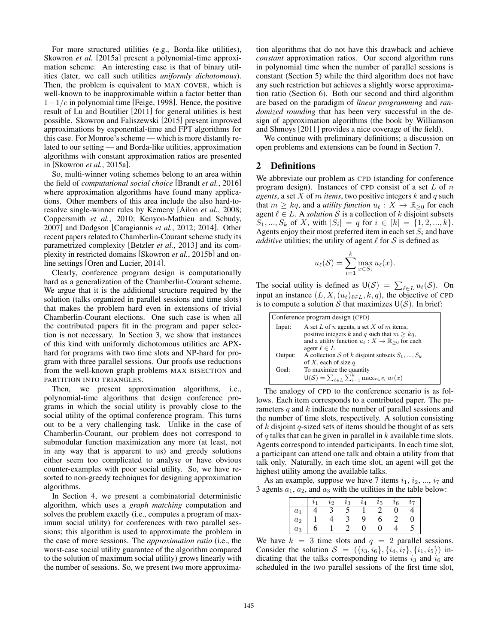For more structured utilities (e.g., Borda-like utilities), Skowron *et al.* [2015a] present a polynomial-time approximation scheme. An interesting case is that of binary utilities (later, we call such utilities *uniformly dichotomous*). Then, the problem is equivalent to MAX COVER, which is well-known to be inapproximable within a factor better than  $1-1/e$  in polynomial time [Feige, 1998]. Hence, the positive result of Lu and Boutilier [2011] for general utilities is best possible. Skowron and Faliszewski [2015] present improved approximations by exponential-time and FPT algorithms for this case. For Monroe's scheme — which is more distantly related to our setting — and Borda-like utilities, approximation algorithms with constant approximation ratios are presented in [Skowron *et al.*, 2015a].

So, multi-winner voting schemes belong to an area within the field of *computational social choice* [Brandt *et al.*, 2016] where approximation algorithms have found many applications. Other members of this area include the also hard-toresolve single-winner rules by Kemeny [Ailon *et al.*, 2008; Coppersmith *et al.*, 2010; Kenyon-Mathieu and Schudy, 2007] and Dodgson [Caragiannis *et al.*, 2012; 2014]. Other recent papers related to Chamberlin-Courant scheme study its parametrized complexity [Betzler *et al.*, 2013] and its complexity in restricted domains [Skowron *et al.*, 2015b] and online settings [Oren and Lucier, 2014].

Clearly, conference program design is computationally hard as a generalization of the Chamberlin-Courant scheme. We argue that it is the additional structure required by the solution (talks organized in parallel sessions and time slots) that makes the problem hard even in extensions of trivial Chamberlin-Courant elections. One such case is when all the contributed papers fit in the program and paper selection is not necessary. In Section 3, we show that instances of this kind with uniformly dichotomous utilities are APXhard for programs with two time slots and NP-hard for program with three parallel sessions. Our proofs use reductions from the well-known graph problems MAX BISECTION and PARTITION INTO TRIANGLES.

Then, we present approximation algorithms, i.e., polynomial-time algorithms that design conference programs in which the social utility is provably close to the social utility of the optimal conference program. This turns out to be a very challenging task. Unlike in the case of Chamberlin-Courant, our problem does not correspond to submodular function maximization any more (at least, not in any way that is apparent to us) and greedy solutions either seem too complicated to analyse or have obvious counter-examples with poor social utility. So, we have resorted to non-greedy techniques for designing approximation algorithms.

In Section 4, we present a combinatorial deterministic algorithm, which uses a *graph matching* computation and solves the problem exactly (i.e., computes a program of maximum social utility) for conferences with two parallel sessions; this algorithm is used to approximate the problem in the case of more sessions. The *approximation ratio* (i.e., the worst-case social utility guarantee of the algorithm compared to the solution of maximum social utility) grows linearly with the number of sessions. So, we present two more approximation algorithms that do not have this drawback and achieve *constant* approximation ratios. Our second algorithm runs in polynomial time when the number of parallel sessions is constant (Section 5) while the third algorithm does not have any such restriction but achieves a slightly worse approximation ratio (Section 6). Both our second and third algorithm are based on the paradigm of *linear programming* and *randomized rounding* that has been very successful in the design of approximation algorithms (the book by Williamson and Shmoys [2011] provides a nice coverage of the field).

We continue with preliminary definitions; a discussion on open problems and extensions can be found in Section 7.

# 2 Definitions

We abbreviate our problem as CPD (standing for conference program design). Instances of CPD consist of a set *L* of *n agents*, a set *X* of *m items*, two positive integers *k* and *q* such that  $m \geq kq$ , and a *utility function*  $u_{\ell} : X \to \mathbb{R}_{\geq 0}$  for each agent  $\ell \in L$ . A *solution* S is a collection of k disjoint subsets *S*<sub>1</sub>*, ..., S*<sub>*k*</sub> of *X,* with  $|S_i| = q$  for  $i \in [k] = \{1, 2, ..., k\}$ . Agents enjoy their most preferred item in each set  $S_i$  and have *additive* utilities; the utility of agent  $\ell$  for  $S$  is defined as

$$
u_{\ell}(\mathcal{S}) = \sum_{i=1}^{k} \max_{x \in S_i} u_{\ell}(x).
$$

The social utility is defined as  $U(S) = \sum_{\ell \in L} u_{\ell}(S)$ . On input an instance  $(L, X, (u_\ell)_{\ell \in L}, k, q)$ , the objective of CPD is to compute a solution  $S$  that maximizes  $U(S)$ . In brief:

| Conference program design (CPD) |                                                                                                                                                                                              |  |
|---------------------------------|----------------------------------------------------------------------------------------------------------------------------------------------------------------------------------------------|--|
| Input:                          | A set L of n agents, a set X of m items,<br>positive integers k and q such that $m \geq kq$ ,<br>and a utility function $u_{\ell}: X \to \mathbb{R}_{\geq 0}$ for each<br>agent $\ell \in L$ |  |
| Output:                         | A collection S of k disjoint subsets $S_1, , S_k$<br>of X, each of size $q$                                                                                                                  |  |
| Goal:                           | To maximize the quantity<br>$\mathsf{U}(\mathcal{S}) = \sum_{\ell \in L} \sum_{i=1}^k \max_{x \in S_i} u_{\ell}(x)$                                                                          |  |

The analogy of CPD to the conference scenario is as follows. Each item corresponds to a contributed paper. The parameters *q* and *k* indicate the number of parallel sessions and the number of time slots, respectively. A solution consisting of *k* disjoint *q*-sized sets of items should be thought of as sets of *q* talks that can be given in parallel in *k* available time slots. Agents correspond to intended participants. In each time slot, a participant can attend one talk and obtain a utility from that talk only. Naturally, in each time slot, an agent will get the highest utility among the available talks.

As an example, suppose we have 7 items  $i_1$ ,  $i_2$ , ...,  $i_7$  and 3 agents  $a_1$ ,  $a_2$ , and  $a_3$  with the utilities in the table below:

|       |   | lο | $\imath_3$ | $\imath_{\it \Delta}$ | $\imath_5$ | $\imath_6$ |  |
|-------|---|----|------------|-----------------------|------------|------------|--|
| $a_1$ |   |    |            |                       |            |            |  |
| $a_2$ |   |    |            | q                     | 0          |            |  |
| $a_3$ | O |    |            |                       |            |            |  |

We have  $k = 3$  time slots and  $q = 2$  parallel sessions. Consider the solution  $S = (\{i_3, i_6\}, \{i_4, i_7\}, \{i_1, i_5\})$  indicating that the talks corresponding to items  $i_3$  and  $i_6$  are scheduled in the two parallel sessions of the first time slot,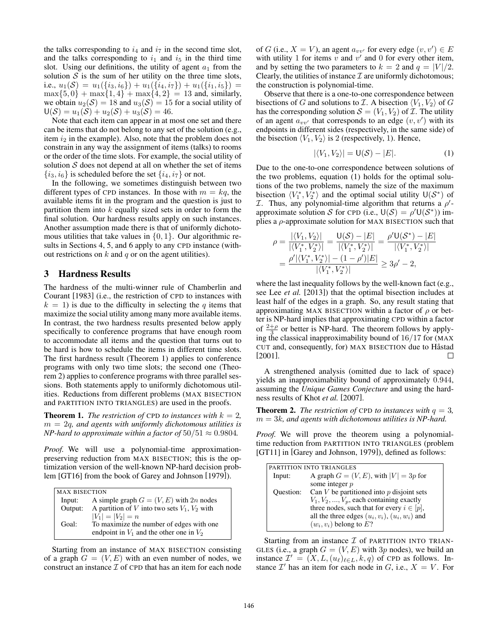the talks corresponding to  $i_4$  and  $i_7$  in the second time slot, and the talks corresponding to  $i_1$  and  $i_5$  in the third time slot. Using our definitions, the utility of agent  $a_1$  from the solution  $S$  is the sum of her utility on the three time slots, i.e.,  $u_1(\mathcal{S}) = u_1(\{i_3, i_6\}) + u_1(\{i_4, i_7\}) + u_1(\{i_1, i_5\}) =$  $max{5,0} + max{1,4} + max{4,2} = 13$  and, similarly, we obtain  $u_2(\mathcal{S}) = 18$  and  $u_3(\mathcal{S}) = 15$  for a social utility of  $U(S) = u_1(S) + u_2(S) + u_3(S) = 46.$ 

Note that each item can appear in at most one set and there can be items that do not belong to any set of the solution (e.g., item *i*<sup>2</sup> in the example). Also, note that the problem does not constrain in any way the assignment of items (talks) to rooms or the order of the time slots. For example, the social utility of solution  $S$  does not depend at all on whether the set of items  $\{i_3, i_6\}$  is scheduled before the set  $\{i_4, i_7\}$  or not.

In the following, we sometimes distinguish between two different types of CPD instances. In those with  $m = kq$ , the available items fit in the program and the question is just to partition them into *k* equally sized sets in order to form the final solution. Our hardness results apply on such instances. Another assumption made there is that of uniformly dichotomous utilities that take values in *{*0*,* 1*}*. Our algorithmic results in Sections 4, 5, and 6 apply to any CPD instance (without restrictions on  $k$  and  $q$  or on the agent utilities).

## 3 Hardness Results

The hardness of the multi-winner rule of Chamberlin and Courant [1983] (i.e., the restriction of CPD to instances with  $k = 1$ ) is due to the difficulty in selecting the *q* items that maximize the social utility among many more available items. In contrast, the two hardness results presented below apply specifically to conference programs that have enough room to accommodate all items and the question that turns out to be hard is how to schedule the items in different time slots. The first hardness result (Theorem 1) applies to conference programs with only two time slots; the second one (Theorem 2) applies to conference programs with three parallel sessions. Both statements apply to uniformly dichotomous utilities. Reductions from different problems (MAX BISECTION and PARTITION INTO TRIANGLES) are used in the proofs.

**Theorem 1.** *The restriction of* CPD *to instances with*  $k = 2$ , *m* = 2*q, and agents with uniformly dichotomous utilities is NP-hard to approximate within a factor of*  $50/51 \approx 0.9804$ *.* 

*Proof.* We will use a polynomial-time approximationpreserving reduction from MAX BISECTION; this is the optimization version of the well-known NP-hard decision problem [GT16] from the book of Garey and Johnson [1979]).

| <b>MAX BISECTION</b> |                                                   |  |  |
|----------------------|---------------------------------------------------|--|--|
| Input:               | A simple graph $G = (V, E)$ with 2n nodes         |  |  |
| Output:              | A partition of V into two sets $V_1$ , $V_2$ with |  |  |
|                      | $ V_1  =  V_2  = n$                               |  |  |
| Goal:                | To maximize the number of edges with one          |  |  |
|                      | endpoint in $V_1$ and the other one in $V_2$      |  |  |
|                      |                                                   |  |  |

Starting from an instance of MAX BISECTION consisting of a graph  $G = (V, E)$  with an even number of nodes, we construct an instance *I* of CPD that has an item for each node

of *G* (i.e.,  $X = V$ ), an agent  $a_{vv'}$  for every edge  $(v, v') \in E$ with utility 1 for items  $v$  and  $v'$  and 0 for every other item, and by setting the two parameters to  $k = 2$  and  $q = |V|/2$ . Clearly, the utilities of instance  $\mathcal I$  are uniformly dichotomous; the construction is polynomial-time.

Observe that there is a one-to-one correspondence between bisections of *G* and solutions to *I*. A bisection  $\langle V_1, V_2 \rangle$  of *G* has the corresponding solution  $S = (V_1, V_2)$  of *I*. The utility of an agent  $a_{vv'}$  that corresponds to an edge  $(v, v')$  with its endpoints in different sides (respectively, in the same side) of the bisection  $\langle V_1, V_2 \rangle$  is 2 (respectively, 1). Hence,

$$
|\langle V_1, V_2 \rangle| = \mathsf{U}(\mathcal{S}) - |E|. \tag{1}
$$

Due to the one-to-one correspondence between solutions of the two problems, equation (1) holds for the optimal solutions of the two problems, namely the size of the maximum bisection  $\langle V_1^*, V_2^* \rangle$  and the optimal social utility  $\mathsf{U}(\mathcal{S}^*)$  of *I*. Thus, any polynomial-time algorithm that returns a  $\rho'$ approximate solution *S* for CPD (i.e.,  $U(S) = \rho' U(S^*))$  implies a  $\rho$ -approximate solution for MAX BISECTION such that

$$
\rho = \frac{|\langle V_1, V_2 \rangle|}{|\langle V_1^*, V_2^* \rangle|} = \frac{\mathsf{U}(\mathcal{S}) - |E|}{|\langle V_1^*, V_2^* \rangle|} = \frac{\rho' \mathsf{U}(\mathcal{S}^*) - |E|}{|\langle V_1^*, V_2^* \rangle|}
$$

$$
= \frac{\rho' |\langle V_1^*, V_2^* \rangle| - (1 - \rho')|E|}{|\langle V_1^*, V_2^* \rangle|} \ge 3\rho' - 2,
$$

where the last inequality follows by the well-known fact (e.g., see Lee *et al.* [2013]) that the optimal bisection includes at least half of the edges in a graph. So, any result stating that approximating MAX BISECTION within a factor of  $\rho$  or better is NP-hard implies that approximating CPD within a factor of  $\frac{2+\rho}{3}$  or better is NP-hard. The theorem follows by applying the classical inapproximability bound of 16*/*17 for (MAX CUT and, consequently, for) MAX BISECTION due to Håstad [2001].  $\Box$ 

A strengthened analysis (omitted due to lack of space) yields an inapproximability bound of approximately 0*.*944, assuming the *Unique Games Conjecture* and using the hardness results of Khot *et al.* [2007].

**Theorem 2.** *The restriction of* CPD *to instances with*  $q = 3$ *, m* = 3*k, and agents with dichotomous utilities is NP-hard.*

*Proof.* We will prove the theorem using a polynomialtime reduction from PARTITION INTO TRIANGLES (problem [GT11] in [Garey and Johnson, 1979]), defined as follows:

|           | PARTITION INTO TRIANGLES                            |
|-----------|-----------------------------------------------------|
| Input:    | A graph $G = (V, E)$ , with $ V  = 3p$ for          |
|           | some integer $p$                                    |
| Ouestion: | Can $V$ be partitioned into $p$ disjoint sets       |
|           | $V_1, V_2, , V_p$ , each containing exactly         |
|           | three nodes, such that for every $i \in [p]$ ,      |
|           | all the three edges $(u_i, v_i)$ , $(u_i, w_i)$ and |
|           | $(w_i, v_i)$ belong to $E$ ?                        |
|           |                                                     |

Starting from an instance *I* of PARTITION INTO TRIAN-GLES (i.e., a graph  $G = (V, E)$  with 3*p* nodes), we build an instance  $\mathcal{I}' = (X, L, (u_\ell)_{\ell \in L}, k, q)$  of CPD as follows. Instance  $\mathcal{I}'$  has an item for each node in *G*, i.e.,  $X = V$ . For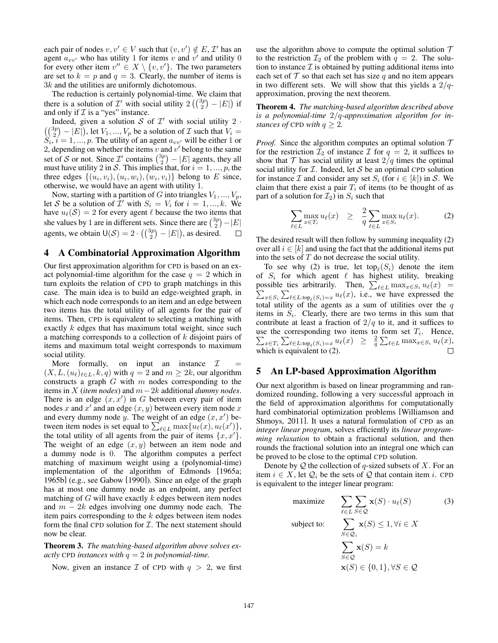each pair of nodes  $v, v' \in V$  such that  $(v, v') \notin E$ , *I*<sup>1</sup> has an agent  $a_{vv'}$  who has utility 1 for items *v* and  $v'$  and utility 0 for every other item  $v'' \in X \setminus \{v, v'\}$ . The two parameters are set to  $k = p$  and  $q = 3$ . Clearly, the number of items is 3*k* and the utilities are uniformly dichotomous.

The reduction is certainly polynomial-time. We claim that there is a solution of *I'* with social utility  $2\left(\binom{3p}{2} - |E|\right)$  if and only if  $I$  is a "yes" instance.

Indeed, given a solution *S* of  $\mathcal{I}'$  with social utility 2 *·*  $\binom{3p}{2} - |E|$ , let  $V_1, ..., V_p$  be a solution of *I* such that  $V_i =$  $S_i$ ,  $i = 1, ..., p$ . The utility of an agent  $a_{vv'}$  will be either 1 or 2, depending on whether the items  $v$  and  $v'$  belong to the same set of *S* or not. Since  $\mathcal{I}'$  contains  $\binom{3p}{2} - |E|$  agents, they all must have utility 2 in S. This implies that, for  $i = 1, ..., p$ , the three edges  $\{(u_i, v_i), (u_i, w_i), (w_i, v_i)\}\$  belong to *E* since, otherwise, we would have an agent with utility 1.

Now, starting with a partition of *G* into triangles  $V_1, ..., V_p$ , let *S* be a solution of *I*<sup> $\prime$ </sup> with  $S_i = V_i$  for  $i = 1, ..., k$ . We have  $u_{\ell}(S)=2$  for every agent  $\ell$  because the two items that she values by 1 are in different sets. Since there are  $\binom{3p}{2} - |E|$ agents, we obtain  $U(S) = 2 \cdot \left(\binom{3p}{2} - |E|\right)$ , as desired.  $\Box$ 

# 4 A Combinatorial Approximation Algorithm

Our first approximation algorithm for CPD is based on an exact polynomial-time algorithm for the case  $q = 2$  which in turn exploits the relation of CPD to graph matchings in this case. The main idea is to build an edge-weighted graph, in which each node corresponds to an item and an edge between two items has the total utility of all agents for the pair of items. Then, CPD is equivalent to selecting a matching with exactly *k* edges that has maximum total weight, since such a matching corresponds to a collection of *k* disjoint pairs of items and maximum total weight corresponds to maximum social utility.

More formally, on input an instance  $I$  $(X, L, (u_\ell)_{\ell \in L}, k, q)$  with  $q = 2$  and  $m \geq 2k$ , our algorithm constructs a graph *G* with *m* nodes corresponding to the items in *X* (*item nodes*) and  $m-2k$  additional *dummy nodes*. There is an edge  $(x, x')$  in *G* between every pair of item nodes *x* and  $x'$  and an edge  $(x, y)$  between every item node  $x$ and every dummy node  $y$ . The weight of an edge  $(x, x')$  between item nodes is set equal to  $\sum_{\ell \in L} \max\{u_{\ell}(x), u_{\ell}(x')\},$ the total utility of all agents from the pair of items  $\{x, x'\}$ . The weight of an edge (*x, y*) between an item node and a dummy node is 0. The algorithm computes a perfect matching of maximum weight using a (polynomial-time) implementation of the algorithm of Edmonds [1965a; 1965b] (e.g., see Gabow [1990]). Since an edge of the graph has at most one dummy node as an endpoint, any perfect matching of *G* will have exactly *k* edges between item nodes and  $m - 2k$  edges involving one dummy node each. The item pairs corresponding to the *k* edges between item nodes form the final CPD solution for *I*. The next statement should now be clear.

Theorem 3. *The matching-based algorithm above solves exactly* CPD *instances with q* = 2 *in polynomial-time.*

Now, given an instance  $\mathcal I$  of CPD with  $q > 2$ , we first

use the algorithm above to compute the optimal solution *T* to the restriction  $\mathcal{I}_2$  of the problem with  $q = 2$ . The solution to instance  $\mathcal I$  is obtained by putting additional items into each set of  $\mathcal T$  so that each set has size  $q$  and no item appears in two different sets. We will show that this yields a 2*/q*approximation, proving the next theorem.

Theorem 4. *The matching-based algorithm described above is a polynomial-time* 2*/q-approximation algorithm for instances of* CPD *with*  $q \geq 2$ *.* 

*Proof.* Since the algorithm computes an optimal solution  $T$ for the restriction  $\mathcal{I}_2$  of instance  $\mathcal I$  for  $q = 2$ , it suffices to show that  $\mathcal T$  has social utility at least  $2/q$  times the optimal social utility for  $I$ . Indeed, let  $S$  be an optimal CPD solution for instance *I* and consider any set  $S_i$  (for  $i \in [k]$ ) in *S*. We claim that there exist a pair  $T_i$  of items (to be thought of as part of a solution for  $\mathcal{I}_2$ ) in  $S_i$  such that

$$
\sum_{\ell \in L} \max_{x \in T_i} u_{\ell}(x) \geq \frac{2}{q} \sum_{\ell \in L} \max_{x \in S_i} u_{\ell}(x). \tag{2}
$$

The desired result will then follow by summing inequality (2) over all  $i \in [k]$  and using the fact that the additional items put into the sets of *T* do not decrease the social utility.

To see why (2) is true, let top<sub> $\ell(S_i)$ </sub> denote the item of  $S_i$  for which agent  $\ell$  has highest utility, breaking possible ties arbitrarily. Then,  $\sum$ possible ties arbitrarily. Then,  $\sum_{\ell \in L} \max_{x \in S_i} u_{\ell}(x) =$ <br> $\sum_{x \in S} \sum_{\ell \in L} u_{\ell}(x) u_{\ell}(x)$ , i.e., we have expressed the  $x \in S_i$   $\sum_{\ell \in L : \text{top}_\ell(S_i) = x} u_\ell(x)$ , i.e., we have expressed the total utility of the agents as a sum of utilities over the *q* items in *Si*. Clearly, there are two terms in this sum that contribute at least a fraction of  $2/q$  to it, and it suffices to use the corresponding two items to form set  $T_i$  $\sum$ . Hence,  $\sum_{x \in T_i} \sum_{\ell \in L : \text{top}_{\ell}(S_i) = x} u_{\ell}(x) \geq \frac{2}{q} \sum_{\ell \in L} \max_{x \in S_i} u_{\ell}(x)$ which is equivalent to (2).

#### 5 An LP-based Approximation Algorithm

Our next algorithm is based on linear programming and randomized rounding, following a very successful approach in the field of approximation algorithms for computationally hard combinatorial optimization problems [Williamson and Shmoys, 2011]. It uses a natural formulation of CPD as an *integer linear program*, solves efficiently its *linear programming relaxation* to obtain a fractional solution, and then rounds the fractional solution into an integral one which can be proved to be close to the optimal CPD solution.

Denote by *Q* the collection of *q*-sized subsets of *X*. For an item  $i \in X$ , let  $\mathcal{Q}_i$  be the sets of  $\mathcal Q$  that contain item *i*. CPD is equivalent to the integer linear program:

maximize 
$$
\sum_{\ell \in L} \sum_{S \in \mathcal{Q}} \mathbf{x}(S) \cdot u_{\ell}(S)
$$
(3)  
subject to: 
$$
\sum_{S \in \mathcal{Q}_i} \mathbf{x}(S) \le 1, \forall i \in X
$$

$$
\sum_{S \in \mathcal{Q}} \mathbf{x}(S) = k
$$

$$
\mathbf{x}(S) \in \{0, 1\}, \forall S \in \mathcal{Q}
$$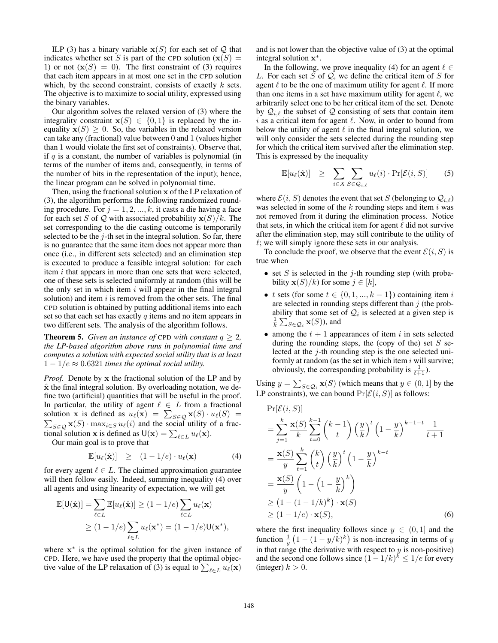ILP (3) has a binary variable  $x(S)$  for each set of  $Q$  that indicates whether set *S* is part of the CPD solution  $(\mathbf{x}(S))$  = 1) or not  $(x(S) = 0)$ . The first constraint of (3) requires that each item appears in at most one set in the CPD solution which, by the second constraint, consists of exactly *k* sets. The objective is to maximize to social utility, expressed using the binary variables.

Our algorithm solves the relaxed version of (3) where the integrality constraint  $x(S) \in \{0, 1\}$  is replaced by the inequality  $\mathbf{x}(S) \geq 0$ . So, the variables in the relaxed version can take any (fractional) value between 0 and 1 (values higher than 1 would violate the first set of constraints). Observe that, if *q* is a constant, the number of variables is polynomial (in terms of the number of items and, consequently, in terms of the number of bits in the representation of the input); hence, the linear program can be solved in polynomial time.

Then, using the fractional solution x of the LP relaxation of (3), the algorithm performs the following randomized rounding procedure. For  $j = 1, 2, ..., k$ , it casts a die having a face for each set *S* of *Q* with associated probability  $\mathbf{x}(S)/k$ . The set corresponding to the die casting outcome is temporarily selected to be the *j*-th set in the integral solution. So far, there is no guarantee that the same item does not appear more than once (i.e., in different sets selected) and an elimination step is executed to produce a feasible integral solution: for each item *i* that appears in more than one sets that were selected, one of these sets is selected uniformly at random (this will be the only set in which item *i* will appear in the final integral solution) and item *i* is removed from the other sets. The final CPD solution is obtained by putting additional items into each set so that each set has exactly *q* items and no item appears in two different sets. The analysis of the algorithm follows.

**Theorem 5.** *Given an instance of* CPD *with constant*  $q \geq 2$ *, the LP-based algorithm above runs in polynomial time and computes a solution with expected social utility that is at least*  $1 - 1/e \approx 0.6321$  *times the optimal social utility.* 

*Proof.* Denote by x the fractional solution of the LP and by  $\hat{x}$  the final integral solution. By overloading notation, we define two (artificial) quantities that will be useful in the proof. In particular, the utility of agent  $\ell \in L$  from a fractional solution **x** is defined as  $u_\ell(\mathbf{x}) = \sum$ solution **x** is defined as  $u_{\ell}(\mathbf{x}) = \sum_{S \in \mathcal{Q}} \mathbf{x}(S) \cdot u_{\ell}(S) = \sum_{S \in \mathcal{Q}} \mathbf{x}(S) \cdot u_{\ell}(S)$  *r* a frac- $S \in \mathcal{Q}$  **x**(*S*)  $\cdot$  max $\iota \in S$  *u*(*i*) and the social utility of a fractional solution **x** is defined as  $U(\mathbf{x}) = \sum_{\ell \in L} u_{\ell}(\mathbf{x})$ .

Our main goal is to prove that

$$
\mathbb{E}[u_{\ell}(\hat{\mathbf{x}})] \geq (1-1/e) \cdot u_{\ell}(\mathbf{x}) \tag{4}
$$

for every agent  $\ell \in L$ . The claimed approximation guarantee will then follow easily. Indeed, summing inequality (4) over all agents and using linearity of expectation, we will get

$$
\mathbb{E}[\mathsf{U}(\hat{\mathbf{x}})] = \sum_{\ell \in L} \mathbb{E}[u_{\ell}(\hat{\mathbf{x}})] \ge (1 - 1/e) \sum_{\ell \in L} u_{\ell}(\mathbf{x})
$$
  
\n
$$
\ge (1 - 1/e) \sum_{\ell \in L} u_{\ell}(\mathbf{x}^*) = (1 - 1/e) \mathsf{U}(\mathbf{x}^*),
$$

where  $x^*$  is the optimal solution for the given instance of CPD. Here, we have used the property that the optimal objective value of the LP relaxation of (3) is equal to  $\sum_{\ell \in L} u_{\ell}(\mathbf{x})$ 

and is not lower than the objective value of (3) at the optimal integral solution  $x^*$ .

In the following, we prove inequality (4) for an agent  $\ell \in$ *L*. For each set *S* of *Q*, we define the critical item of *S* for agent  $\ell$  to be the one of maximum utility for agent  $\ell$ . If more than one items in a set have maximum utility for agent  $\ell$ , we arbitrarily select one to be her critical item of the set. Denote by  $\mathcal{Q}_{i,\ell}$  the subset of  $\mathcal Q$  consisting of sets that contain item  $i$  as a critical item for agent  $\ell$ . Now, in order to bound from below the utility of agent  $\ell$  in the final integral solution, we will only consider the sets selected during the rounding step for which the critical item survived after the elimination step. This is expressed by the inequality

$$
\mathbb{E}[u_{\ell}(\hat{\mathbf{x}})] \geq \sum_{i \in X} \sum_{S \in \mathcal{Q}_{i,\ell}} u_{\ell}(i) \cdot \Pr[\mathcal{E}(i, S)] \qquad (5)
$$

where  $\mathcal{E}(i, S)$  denotes the event that set *S* (belonging to  $\mathcal{Q}_{i,\ell}$ ) was selected in some of the *k* rounding steps and item *i* was not removed from it during the elimination process. Notice that sets, in which the critical item for agent  $\ell$  did not survive after the elimination step, may still contribute to the utility of  $\ell$ ; we will simply ignore these sets in our analysis.

To conclude the proof, we observe that the event  $\mathcal{E}(i, S)$  is true when

- *•* set *S* is selected in the *j*-th rounding step (with probability  $\mathbf{x}(S)/k$  for some  $j \in [k]$ ,
- *t* sets (for some  $t \in \{0, 1, ..., k-1\}$ ) containing item *i* are selected in rounding steps different than *j* (the probability that some set of  $Q_i$  is selected at a given step is  $\frac{1}{k} \sum_{S \in \mathcal{Q}_i} \mathbf{x}(S)$ , and
- among the  $t + 1$  appearances of item  $i$  in sets selected during the rounding steps, the (copy of the) set *S* selected at the *j*-th rounding step is the one selected uniformly at random (as the set in which item *i* will survive; obviously, the corresponding probability is  $\frac{1}{t+1}$ ).

Using  $y = \sum_{S \in \mathcal{Q}_i} \mathbf{x}(S)$  (which means that  $y \in (0, 1]$  by the LP constraints), we can bound  $Pr[\mathcal{E}(i, S)]$  as follows:

$$
\Pr[\mathcal{E}(i, S)]
$$
\n
$$
= \sum_{j=1}^{k} \frac{\mathbf{x}(S)}{k} \sum_{t=0}^{k-1} {k-1 \choose t} \left(\frac{y}{k}\right)^t \left(1 - \frac{y}{k}\right)^{k-1-t} \frac{1}{t+1}
$$
\n
$$
= \frac{\mathbf{x}(S)}{y} \sum_{t=1}^{k} {k \choose t} \left(\frac{y}{k}\right)^t \left(1 - \frac{y}{k}\right)^{k-t}
$$
\n
$$
= \frac{\mathbf{x}(S)}{y} \left(1 - \left(1 - \frac{y}{k}\right)^k\right)
$$
\n
$$
\geq \left(1 - (1 - 1/k)^k\right) \cdot \mathbf{x}(S)
$$
\n
$$
\geq (1 - 1/e) \cdot \mathbf{x}(S), \tag{6}
$$

where the first inequality follows since  $y \in (0, 1]$  and the function  $\frac{1}{y}(1-(1-y/k)^k)$  is non-increasing in terms of *y* in that range (the derivative with respect to *y* is non-positive) and the second one follows since  $(1 - 1/k)^{k} \le 1/e$  for every (integer)  $k > 0$ .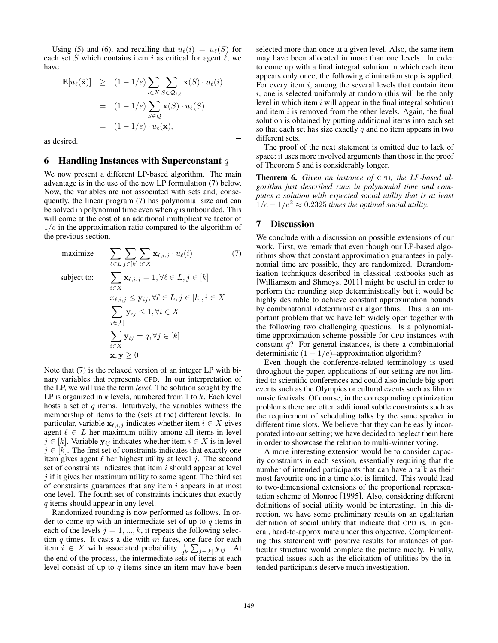Using (5) and (6), and recalling that  $u_{\ell}(i) = u_{\ell}(S)$  for each set  $S$  which contains item  $i$  as critical for agent  $\ell$ , we have

$$
\mathbb{E}[u_{\ell}(\hat{\mathbf{x}})] \geq (1 - 1/e) \sum_{i \in X} \sum_{S \in \mathcal{Q}_{i,\ell}} \mathbf{x}(S) \cdot u_{\ell}(i)
$$
  
\n
$$
= (1 - 1/e) \sum_{S \in \mathcal{Q}} \mathbf{x}(S) \cdot u_{\ell}(S)
$$
  
\n
$$
= (1 - 1/e) \cdot u_{\ell}(\mathbf{x}),
$$
  
\nsired.

as desired.

# 6 Handling Instances with Superconstant *q*

We now present a different LP-based algorithm. The main advantage is in the use of the new LP formulation (7) below. Now, the variables are not associated with sets and, consequently, the linear program (7) has polynomial size and can be solved in polynomial time even when *q* is unbounded. This will come at the cost of an additional multiplicative factor of 1*/e* in the approximation ratio compared to the algorithm of the previous section.

maximize 
$$
\sum_{\ell \in L} \sum_{j \in [k]} \sum_{i \in X} \mathbf{x}_{\ell, i, j} \cdot u_{\ell}(i)
$$
(7)  
subject to: 
$$
\sum_{i \in X} \mathbf{x}_{\ell, i, j} = 1, \forall \ell \in L, j \in [k]
$$

$$
x_{\ell, i, j} \leq \mathbf{y}_{ij}, \forall \ell \in L, j \in [k], i \in X
$$

$$
\sum_{j \in [k]} \mathbf{y}_{ij} \leq 1, \forall i \in X
$$

$$
\sum_{i \in X} \mathbf{y}_{ij} = q, \forall j \in [k]
$$

$$
\mathbf{x}, \mathbf{y} \geq 0
$$

Note that (7) is the relaxed version of an integer LP with binary variables that represents CPD. In our interpretation of the LP, we will use the term *level*. The solution sought by the LP is organized in *k* levels, numbered from 1 to *k*. Each level hosts a set of *q* items. Intuitively, the variables witness the membership of items to the (sets at the) different levels. In particular, variable  $\mathbf{x}_{\ell,i,j}$  indicates whether item  $i \in X$  gives agent  $\ell \in L$  her maximum utility among all items in level  $j \in [k]$ . Variable  $y_{ij}$  indicates whether item  $i \in X$  is in level  $j \in [k]$ . The first set of constraints indicates that exactly one item gives agent  $\ell$  her highest utility at level  $j$ . The second set of constraints indicates that item *i* should appear at level *j* if it gives her maximum utility to some agent. The third set of constraints guarantees that any item *i* appears in at most one level. The fourth set of constraints indicates that exactly *q* items should appear in any level.

Randomized rounding is now performed as follows. In order to come up with an intermediate set of up to *q* items in each of the levels  $j = 1, ..., k$ , it repeats the following selection *q* times. It casts a die with *m* faces, one face for each item  $i \in X$  with associated probability  $\frac{1}{qk} \sum_{j \in [k]} \mathbf{y}_{ij}$ . At the end of the process, the intermediate sets of items at each level consist of up to *q* items since an item may have been selected more than once at a given level. Also, the same item may have been allocated in more than one levels. In order to come up with a final integral solution in which each item appears only once, the following elimination step is applied. For every item *i*, among the several levels that contain item *i*, one is selected uniformly at random (this will be the only level in which item *i* will appear in the final integral solution) and item *i* is removed from the other levels. Again, the final solution is obtained by putting additional items into each set so that each set has size exactly *q* and no item appears in two different sets.

The proof of the next statement is omitted due to lack of space; it uses more involved arguments than those in the proof of Theorem 5 and is considerably longer.

Theorem 6. *Given an instance of* CPD*, the LP-based algorithm just described runs in polynomial time and computes a solution with expected social utility that is at least*  $1/e - 1/e^2 \approx 0.2325$  *times the optimal social utility.* 

#### 7 Discussion

We conclude with a discussion on possible extensions of our work. First, we remark that even though our LP-based algorithms show that constant approximation guarantees in polynomial time are possible, they are randomized. Derandomization techniques described in classical textbooks such as [Williamson and Shmoys, 2011] might be useful in order to perform the rounding step deterministically but it would be highly desirable to achieve constant approximation bounds by combinatorial (deterministic) algorithms. This is an important problem that we have left widely open together with the following two challenging questions: Is a polynomialtime approximation scheme possible for CPD instances with constant *q*? For general instances, is there a combinatorial deterministic  $(1 - 1/e)$ –approximation algorithm?

Even though the conference-related terminology is used throughout the paper, applications of our setting are not limited to scientific conferences and could also include big sport events such as the Olympics or cultural events such as film or music festivals. Of course, in the corresponding optimization problems there are often additional subtle constraints such as the requirement of scheduling talks by the same speaker in different time slots. We believe that they can be easily incorporated into our setting; we have decided to neglect them here in order to showcase the relation to multi-winner voting.

A more interesting extension would be to consider capacity constraints in each session, essentially requiring that the number of intended participants that can have a talk as their most favourite one in a time slot is limited. This would lead to two-dimensional extensions of the proportional representation scheme of Monroe [1995]. Also, considering different definitions of social utility would be interesting. In this direction, we have some preliminary results on an egalitarian definition of social utility that indicate that CPD is, in general, hard-to-approximate under this objective. Complementing this statement with positive results for instances of particular structure would complete the picture nicely. Finally, practical issues such as the elicitation of utilities by the intended participants deserve much investigation.